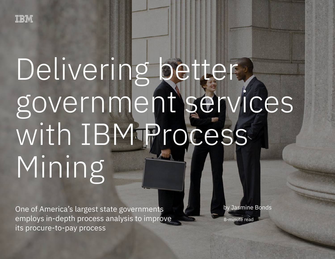# Delivering better. government services with IBM Process Mining

One of America's largest state governments employs in-depth process analysis to improve its procure-to-pay process 1

One of America's largest state governments employs in-depth process analysis to improve its procure-to-pay process

by Jasmine Bonds

8-minute read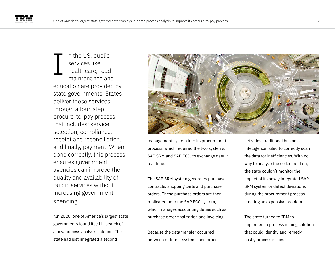n the US, public services like healthcare, road maintenance and education are provided by state governments. States deliver these services through a four-step procure-to-pay process that includes: service selection, compliance, receipt and reconciliation, and finally, payment. When done correctly, this process ensures government agencies can improve the quality and availability of public services without increasing government spending. I

"In 2020, one of America's largest state governments found itself in search of a new process analysis solution. The state had just integrated a second



management system into its procurement process, which required the two systems, SAP SRM and SAP ECC, to exchange data in real time.

The SAP SRM system generates purchase contracts, shopping carts and purchase orders. These purchase orders are then replicated onto the SAP ECC system, which manages accounting duties such as purchase order finalization and invoicing.

Because the data transfer occurred between different systems and process

activities, traditional business intelligence failed to correctly scan the data for inefficiencies. With no way to analyze the collected data, the state couldn't monitor the impact of its newly integrated SAP SRM system or detect deviations during the procurement process creating an expensive problem.

The state turned to IBM to implement a process mining solution that could identify and remedy costly process issues.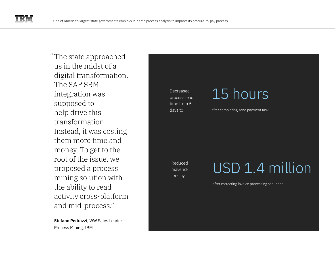The state approached " us in the midst of a digital transformation. The SAP SRM integration was supposed to help drive this transformation. Instead, it was costing them more time and money. To get to the root of the issue, we proposed a process mining solution with the ability to read activity cross-platform and mid-process."

**Stefano Pedrazzi**, WW Sales Leader Process Mining, IBM

Decreased process lead time from 5 days to

### 15 hours

after completing send payment task

Reduced maverick fees by

### USD 1.4 million

after correcting invoice processing sequence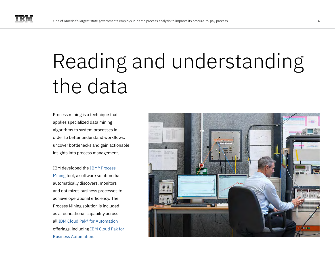## Reading and understanding the data

Process mining is a technique that applies specialized data mining algorithms to system processes in order to better understand workflows, uncover bottlenecks and gain actionable insights into process management.

IBM developed the [IBM® Process](https://www.ibm.com/cloud/cloud-pak-for-business-automation/process-mining)  [Mining](https://www.ibm.com/cloud/cloud-pak-for-business-automation/process-mining) tool, a software solution that automatically discovers, monitors and optimizes business processes to achieve operational efficiency. The Process Mining solution is included as a foundational capability across all [IBM Cloud Pak® for Automation](https://www.ibm.com/cloud/automation) offerings, including [IBM Cloud Pak for](https://www.ibm.com/cloud/cloud-pak-for-business-automation)  [Business Automation](https://www.ibm.com/cloud/cloud-pak-for-business-automation).

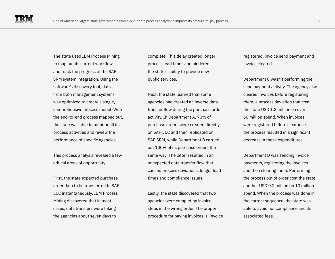The state used IBM Process Mining to map out its current workflow and track the progress of the SAP SRM system integration. Using the software's discovery tool, data from both management systems was optimized to create a single, comprehensive process model. With the end-to-end process mapped out, the state was able to monitor all its process activities and review the performance of specific agencies.

This process analysis revealed a few critical areas of opportunity.

First, the state expected purchase order data to be transferred to SAP ECC instantaneously. IBM Process Mining discovered that in most cases, data transfers were taking the agencies about seven days to

complete. This delay created longer process lead times and hindered the state's ability to provide new public services.

Next, the state learned that some agencies had created an inverse data transfer flow during the purchase order activity. In Department A, 70% of purchase orders were created directly on SAP ECC and then replicated on SAP SRM, while Department B carried out 100% of its purchase orders the same way. The latter resulted in an unexpected data transfer flow that caused process deviations, longer lead times and compliance issues.

Lastly, the state discovered that two agencies were completing invoice steps in the wrong order. The proper procedure for paying invoices is: invoice registered, invoice send payment and invoice cleared.

Department C wasn't performing the send payment activity. The agency also cleared invoices before registering them, a process deviation that cost the state USD 1.2 million on over 60 million spend. When invoices were registered before clearance, the process resulted in a significant decrease in these expenditures.

Department D was sending invoice payments, registering the invoices and then clearing them. Performing the process out of order cost the state another USD 0.2 million on 10 million spend. When the process was done in the correct sequence, the state was able to avoid noncompliance and its associated fees.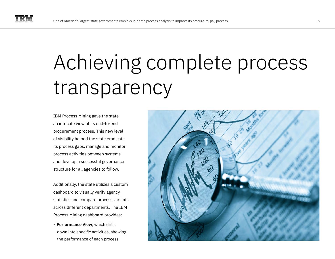## Achieving complete process transparency

IBM Process Mining gave the state an intricate view of its end-to-end procurement process. This new level of visibility helped the state eradicate its process gaps, manage and monitor process activities between systems and develop a successful governance structure for all agencies to follow.

Additionally, the state utilizes a custom dashboard to visually verify agency statistics and compare process variants across different departments. The IBM Process Mining dashboard provides:

• **Performance View**, which drills down into specific activities, showing the performance of each process

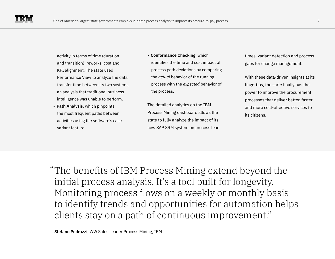- activity in terms of time (duration and transition), reworks, cost and KPI alignment. The state used Performance View to analyze the data transfer time between its two systems, an analysis that traditional business intelligence was unable to perform.
- **Path Analysis**, which pinpoints the most frequent paths between activities using the software's case variant feature.
- **Conformance Checking**, which identifies the time and cost impact of process path deviations by comparing the *actual* behavior of the running process with the *expected* behavior of the process.
- The detailed analytics on the IBM Process Mining dashboard allows the state to fully analyze the impact of its new SAP SRM system on process lead
- times, variant detection and process gaps for change management.
- With these data-driven insights at its fingertips, the state finally has the power to improve the procurement processes that deliver better, faster and more cost-effective services to its citizens.

The benefits of IBM Process Mining extend beyond the "initial process analysis. It's a tool built for longevity. Monitoring process flows on a weekly or monthly basis to identify trends and opportunities for automation helps clients stay on a path of continuous improvement."